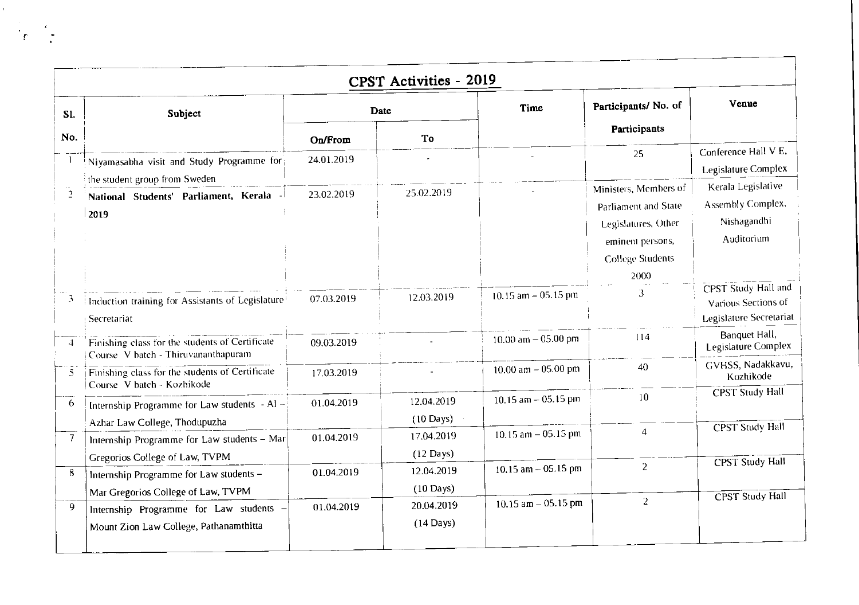|               |                                                                                                                         |            | <b>CPST Activities - 2019</b>     | Time                   | Participants/No. of                                                                                                         | Venue                                                                        |
|---------------|-------------------------------------------------------------------------------------------------------------------------|------------|-----------------------------------|------------------------|-----------------------------------------------------------------------------------------------------------------------------|------------------------------------------------------------------------------|
| S1.           | Subject                                                                                                                 | Date       |                                   |                        |                                                                                                                             |                                                                              |
| No.           |                                                                                                                         | On/From    | To                                |                        | Participants                                                                                                                |                                                                              |
|               | Niyamasabha visit and Study Programme for                                                                               | 24.01.2019 |                                   |                        | 25                                                                                                                          | Conference Hall V E,<br>Legislature Complex                                  |
| $\mathcal{L}$ | the student group from Sweden<br>National Students' Parliament, Kerala<br>2019                                          | 23.02.2019 | 25.02.2019                        |                        | Ministers, Members of<br>Parliament and State<br>Legislatures, Other<br>eminent persons,<br><b>College Students</b><br>2000 | Kerala Legislative<br>Assembly Complex,<br>Nishagandhi<br>Auditorium         |
|               | Induction training for Assistants of Legislature<br>Secretariat                                                         | 07.03.2019 | 12.03.2019                        | 10.15 am $-$ 05.15 pm  | 3                                                                                                                           | <b>CPST</b> Study Hall and<br>Various Sections of<br>Legislature Secretariat |
|               | Finishing class for the students of Certificate<br>Course V batch - Thiruvananthapuram                                  | 09.03.2019 |                                   | 10.00 am $-$ 05.00 pm  | 114                                                                                                                         | Banquet Hall,<br><b>Legislature Complex</b>                                  |
| 5.            | Finishing class for the students of Certificate<br>Course V batch - Kozhikode                                           | 17.03.2019 |                                   | 10.00 am $-$ 05.00 pm  | 40                                                                                                                          | GVHSS, Nadakkavu,<br>Kozhikode                                               |
| 6             | Internship Programme for Law students $-A1$ –                                                                           | 01.04.2019 | 12.04.2019<br>$(10 \text{ Days})$ | 10.15 $am - 05.15 pm$  | 10                                                                                                                          | <b>CPST Study Hall</b>                                                       |
| 7             | Azhar Law College, Thodupuzha<br>Internship Programme for Law students - Mar                                            | 01.04.2019 | 17.04.2019<br>$(12 \text{ Days})$ | 10.15 $am - 05.15 pm$  | $\overline{4}$                                                                                                              | <b>CPST</b> Study Hall                                                       |
| 8             | Gregorios College of Law, TVPM<br>Internship Programme for Law students -                                               | 01.04.2019 | 12.04.2019<br>$(10 \text{ Days})$ | 10.15 am $-$ 05.15 pm  | $\mathbf{2}^{\prime}$                                                                                                       | <b>CPST</b> Study Hall                                                       |
| 9             | Mar Gregorios College of Law, TVPM<br>Internship Programme for Law students -<br>Mount Zion Law College, Pathanamthitta | 01.04.2019 | 20.04.2019<br>$(14$ Days)         | $10.15$ am $-05.15$ pm | $\overline{2}$                                                                                                              | <b>CPST Study Hall</b>                                                       |

 $\frac{1}{\sqrt{2}}$ 

 $\begin{array}{c} \epsilon \\ \epsilon \\ \ast \end{array}$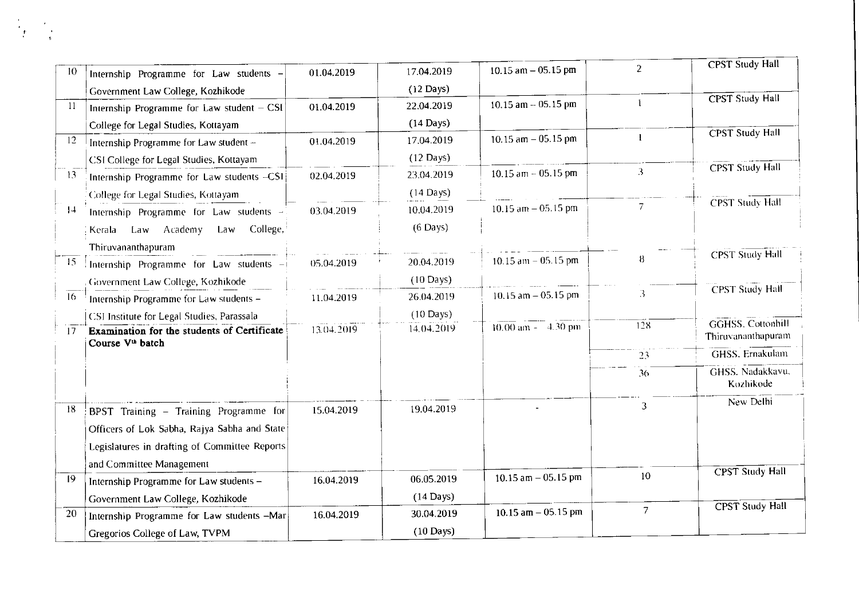| 10              | Internship Programme for Law students -                                     | 01.04.2019 | 17.04.2019          | 10.15 am $-$ 05.15 pm  | $\overline{2}$ | <b>CPST Study Hall</b>                         |
|-----------------|-----------------------------------------------------------------------------|------------|---------------------|------------------------|----------------|------------------------------------------------|
|                 | Government Law College, Kozhikode                                           |            | $(12 \text{ Days})$ |                        |                | <b>CPST</b> Study Hall                         |
| -11             | Internship Programme for Law student - CSI                                  | 01.04.2019 | 22.04.2019          | $10.15$ am $-05.15$ pm |                |                                                |
|                 | College for Legal Studies, Kottayam                                         |            | $(14$ Days)         |                        |                |                                                |
| 12              | Internship Programme for Law student -                                      | 01.04.2019 | 17.04.2019          | 10.15 $am - 05.15$ pm  | $\mathbf{1}$   | <b>CPST</b> Study Hall                         |
|                 | CSI College for Legal Studies, Kottayam                                     |            | $(12 \text{ Days})$ |                        |                |                                                |
| 13 <sup>°</sup> | Internship Programme for Law students -CSI                                  | 02.04.2019 | 23.04.2019          | $10.15$ am $-05.15$ pm | 3              | <b>CPST Study Hall</b>                         |
|                 | College for Legal Studies, Kottayam                                         |            | $(14$ Days)         |                        |                |                                                |
| 4               | Internship Programme for Law students -                                     | 03.04.2019 | 10.04.2019          | $10.15$ am $-05.15$ pm | $\overline{7}$ | <b>CPST Study Hall</b>                         |
|                 | College,<br>Kerala Law Academy<br>Law                                       |            | $(6$ Days)          |                        |                |                                                |
|                 | Thiruvananthapuram                                                          |            |                     |                        |                |                                                |
| 15              | Internship Programme for Law students -                                     | 05.04.2019 | 20.04.2019          | $10.15$ am $-05.15$ pm | -8             | <b>CPST Study Hall</b>                         |
|                 | Government Law College, Kozhikode                                           |            | $(10 \text{ Days})$ |                        |                |                                                |
| $\overline{16}$ | Internship Programme for Law students -                                     | 11.04.2019 | 26.04.2019          | 10.15 $am - 05.15$ pm  | 3              | <b>CPST Study Hall</b>                         |
|                 | CSI Institute for Legal Studies, Parassala                                  |            | $(10 \text{ Days})$ |                        |                |                                                |
| 17 <sub>1</sub> | Examination for the students of Certificate<br>Course V <sup>th</sup> batch | 13.04.2019 | 14.04.2019          | $10.00$ am $-4.30$ pm  | 128            | <b>GGHSS, Cottonhill</b><br>Thiruvananthapuram |
|                 |                                                                             |            |                     |                        | 23             | <b>GHSS.</b> Ernakulam                         |
|                 |                                                                             |            |                     |                        | 36             | GHSS. Nadakkavu,<br>Kozhikode                  |
| 18              | BPST Training - Training Programme for                                      | 15.04.2019 | 19.04.2019          |                        | 3              | New Delhi                                      |
|                 | Officers of Lok Sabha, Rajya Sabha and State                                |            |                     |                        |                |                                                |
|                 | Legislatures in drafting of Committee Reports                               |            |                     |                        |                |                                                |
|                 | and Committee Management                                                    |            |                     |                        |                |                                                |
| 19              | Internship Programme for Law students -                                     | 16.04.2019 | 06.05.2019          | $10.15$ am $-05.15$ pm | $10\,$         | <b>CPST</b> Study Hall                         |
|                 | Government Law College, Kozhikode                                           |            | $(14$ Days)         |                        |                |                                                |
| 20              | Internship Programme for Law students -Mar                                  | 16.04.2019 | 30.04.2019          | $10.15$ am $-05.15$ pm | $\overline{7}$ | <b>CPST</b> Study Hall                         |
|                 | Gregorios College of Law, TVPM                                              |            | $(10 \text{ Days})$ |                        |                |                                                |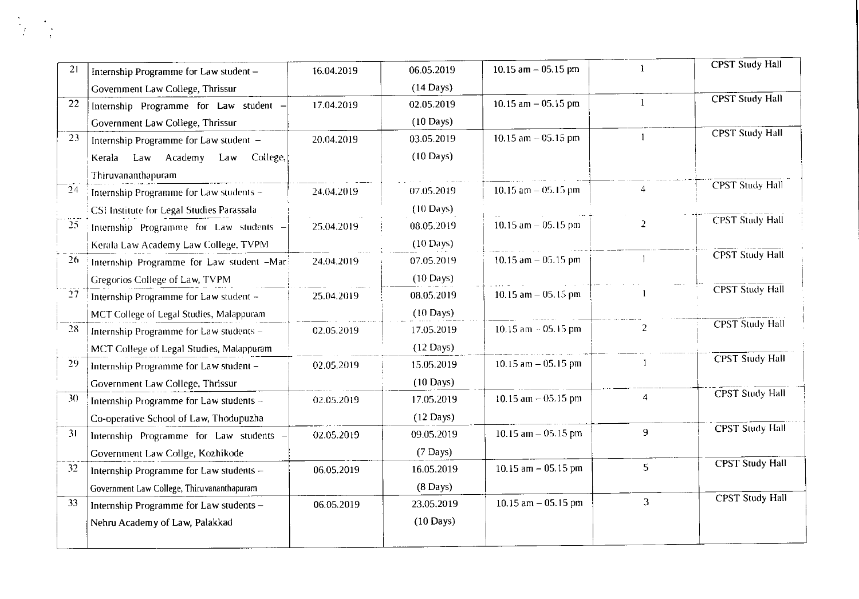| 21 | Internship Programme for Law student -     | 16.04.2019 | 06.05.2019          | 10.15 $am - 05.15$ pm   | -1             | <b>CPST Study Hall</b> |
|----|--------------------------------------------|------------|---------------------|-------------------------|----------------|------------------------|
|    | Government Law College, Thrissur           |            | $(14$ Days)         |                         |                |                        |
| 22 | Internship Programme for Law student -     | 17.04.2019 | 02.05.2019          | 10.15 $am - 05.15$ pm   | $\overline{1}$ | <b>CPST</b> Study Hall |
|    | Government Law College, Thrissur           |            | $(10 \text{ Days})$ |                         |                |                        |
| 23 | Internship Programme for Law student -     | 20.04.2019 | 03.05.2019          | 10.15 $am - 05.15$ pm   |                | <b>CPST Study Hall</b> |
|    | Law Academy Law<br>College,<br>Kerala      |            | $(10 \text{ Days})$ |                         |                |                        |
|    | Thiruvananthapuram                         |            |                     |                         |                |                        |
| 24 | Internship Programme for Law students -    | 24.04.2019 | 07.05.2019          | 10.15 am $-$ 05.15 pm   | $\overline{4}$ | <b>CPST</b> Study Hall |
|    | CSI Institute for Legal Studies Parassala  |            | $(10 \text{ Days})$ |                         |                |                        |
| 25 | Internship Programme for Law students -    | 25.04.2019 | 08.05.2019          | 10.15 $am - 05.15$ pm   | 2              | <b>CPST</b> Study Hall |
|    | Kerala Law Academy Law College, TVPM       |            | $(10 \text{ Days})$ |                         |                |                        |
| 26 | Internship Programme for Law student -Mari | 24.04.2019 | 07.05.2019          | $10.15$ am $- 05.15$ pm |                | <b>CPST</b> Study Hall |
|    | Gregorios College of Law, TVPM             |            | $(10 \text{ Days})$ |                         |                |                        |
| 27 | Internship Programme for Law student -     | 25.04.2019 | 08.05.2019          | 10.15 am $-$ 05.15 pm   |                | <b>CPST Study Hall</b> |
|    | MCT College of Legal Studies, Malappuram   |            | $(10 \text{ Days})$ |                         |                |                        |
| 28 | Internship Programme for Law students -    | 02.05.2019 | 17.05.2019          | $10.15$ am $-05.15$ pm  | 2              | <b>CPST</b> Study Hall |
|    | MCT College of Legal Studies, Malappuram   |            | $(12 \text{ Days})$ |                         |                |                        |
| 29 | Internship Programme for Law student -     | 02.05.2019 | 15.05.2019          | $10.15$ am $-05.15$ pm  |                | <b>CPST Study Hall</b> |
|    | Government Law College, Thrissur           |            | $(10 \text{ Day})$  |                         |                |                        |
| 30 | Internship Programme for Law students -    | 02.05.2019 | 17.05.2019          | 10.15 $am - 05.15$ pm   | $\overline{4}$ | <b>CPST Study Hall</b> |
|    | Co-operative School of Law, Thodupuzha     |            | $(12 \text{ Days})$ |                         |                |                        |
| 31 | Internship Programme for Law students -    | 02.05.2019 | 09.05.2019          | 10.15 $am - 05.15$ pm   | 9              | <b>CPST Study Hall</b> |
|    | Government Law Collge, Kozhikode           |            | $(7 \text{ Days})$  |                         |                |                        |
| 32 | Internship Programme for Law students -    | 06.05.2019 | 16.05.2019          | 10.15 $am - 05.15 pm$   | 5              | <b>CPST Study Hall</b> |
|    | Government Law College, Thiruvananthapuram |            | $(8 \text{ Days})$  |                         |                |                        |
| 33 | Internship Programme for Law students -    | 06.05.2019 | 23.05.2019          | 10.15 am $-$ 05.15 pm   | 3              | <b>CPST Study Hall</b> |
|    | Nehru Academy of Law, Palakkad             |            | $(10 \text{ Days})$ |                         |                |                        |
|    |                                            |            |                     |                         |                |                        |
|    |                                            |            |                     |                         |                |                        |

i<br>L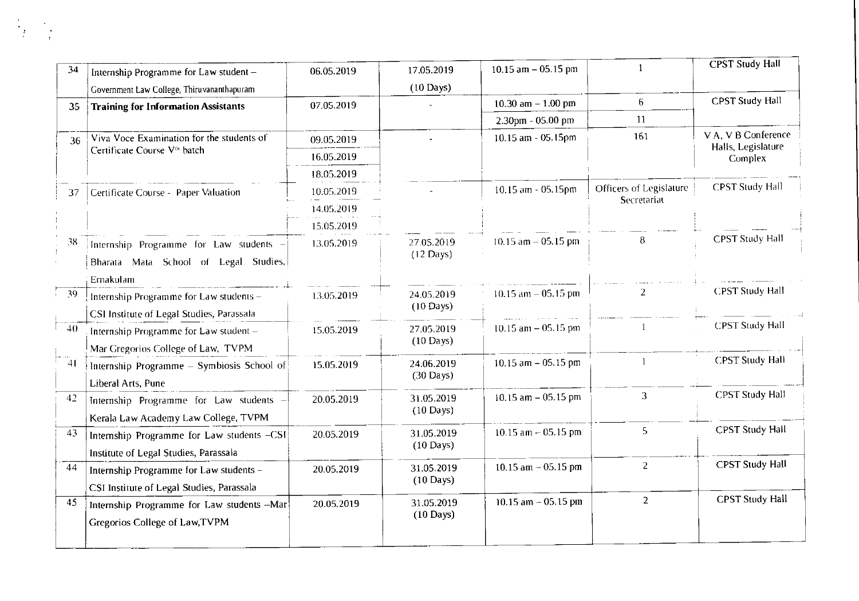| 34              | Internship Programme for Law student -                                               | 06.05.2019 | 17.05.2019                        | $10.15$ am $-05.15$ pm |                         | <b>CPST Study Hall</b>        |
|-----------------|--------------------------------------------------------------------------------------|------------|-----------------------------------|------------------------|-------------------------|-------------------------------|
|                 | Government Law College, Thiruvananthapuram                                           |            | $(10 \text{ Days})$               |                        |                         |                               |
| 35              | <b>Training for Information Assistants</b>                                           | 07.05.2019 |                                   | 10.30 $am - 1.00 pm$   | 6                       | <b>CPST Study Hall</b>        |
|                 |                                                                                      |            |                                   | 2.30pm - 05.00 pm      | 11                      |                               |
| 36              | Viva Voce Examination for the students of                                            | 09.05.2019 |                                   | $10.15$ am $-05.15$ pm | 161                     | V A, V B Conference           |
|                 | Certificate Course V <sup>th</sup> batch                                             | 16.05.2019 |                                   |                        |                         | Halls, Legislature<br>Complex |
|                 |                                                                                      | 18.05.2019 |                                   |                        |                         |                               |
| 37              | Certificate Course - Paper Valuation                                                 | 10.05.2019 |                                   | 10.15 am - 05.15pm     | Officers of Legislature | <b>CPST Study Hall</b>        |
|                 |                                                                                      | 14.05.2019 |                                   |                        | Secretariat             |                               |
|                 |                                                                                      | 15.05.2019 |                                   |                        |                         |                               |
| 38              | Internship Programme for Law students -<br>Bharata Mata School of Legal Studies,     | 13.05.2019 | 27.05.2019<br>$(12 \text{ Days})$ | $10.15$ am $-05.15$ pm | $\boldsymbol{8}$        | <b>CPST Study Hall</b>        |
|                 | Ernakulam                                                                            |            |                                   |                        |                         |                               |
| -39             | Internship Programme for Law students -<br>CSI Institute of Legal Studies, Parassala | 13.05.2019 | 24.05.2019<br>$(10 \text{ Days})$ | $10.15$ am $-05.15$ pm | $\overline{2}$          | <b>CPST Study Hall</b>        |
| 40 <sub>1</sub> | Internship Programme for Law student -<br>Mar Gregorios College of Law, TVPM         | 15.05.2019 | 27.05.2019<br>$(10 \text{ Days})$ | $10.15$ am $-05.15$ pm |                         | <b>CPST Study Hall</b>        |
| 41              | Internship Programme - Symbiosis School of<br>Liberal Arts, Pune                     | 15.05.2019 | 24.06.2019<br>$(30 \text{ Days})$ | 10.15 $am - 05.15$ pm  |                         | <b>CPST Study Hall</b>        |
| 42              | Internship Programme for Law students -<br>Kerala Law Academy Law College, TVPM      | 20.05.2019 | 31.05.2019<br>$(10 \text{ Days})$ | $10.15$ am $-05.15$ pm | 3                       | <b>CPST Study Hall</b>        |
| 43              | Internship Programme for Law students -CSI<br>Institute of Legal Studies, Parassala  | 20.05.2019 | 31.05.2019<br>$(10 \text{ Days})$ | 10.15 $am - 05.15$ pm  | $\overline{5}$          | <b>CPST Study Hall</b>        |
| 44              | Internship Programme for Law students -<br>CSI Institute of Legal Studies, Parassala | 20.05.2019 | 31.05.2019<br>$(10 \text{ Days})$ | 10.15 $am - 05.15$ pm  | $\overline{2}$          | <b>CPST Study Hall</b>        |
| 45              | Internship Programme for Law students -- Mar<br>Gregorios College of Law, TVPM       | 20.05.2019 | 31.05.2019<br>$(10 \text{ Days})$ | 10.15 $am - 05.15 pm$  | $\overline{2}$          | <b>CPST Study Hall</b>        |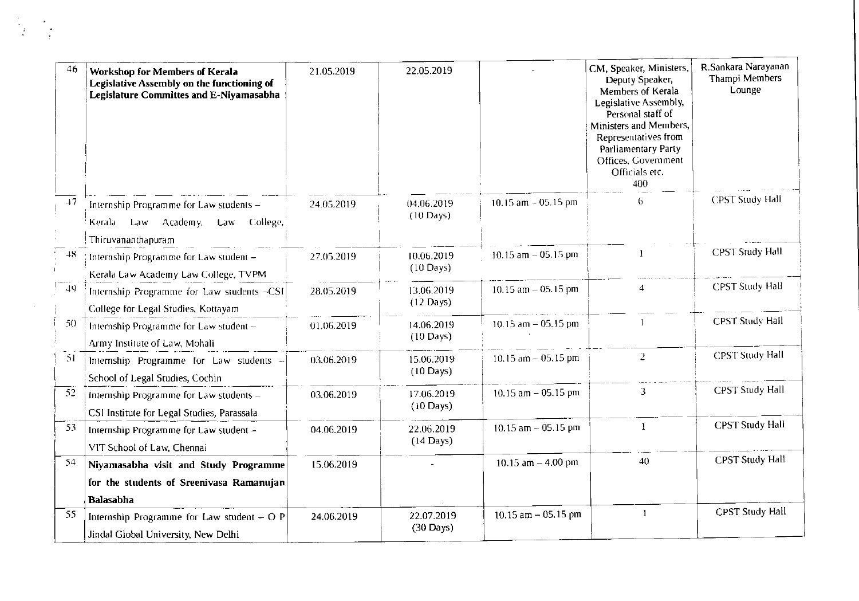| 46   | <b>Workshop for Members of Kerala</b><br><b>Legislative Assembly on the functioning of</b><br><b>Legislature Committes and E-Niyamasabha</b> | 21.05.2019 | 22.05.2019                        |                        | CM, Speaker, Ministers,<br>Deputy Speaker,<br>Members of Kerala<br>Legislative Assembly,<br>Personal staff of<br>Ministers and Members,<br>Representatives from<br><b>Parliamentary Party</b><br>Offices, Government<br>Officials etc.<br>400 | R.Sankara Narayanan<br>Thampi Members<br>Lounge |
|------|----------------------------------------------------------------------------------------------------------------------------------------------|------------|-----------------------------------|------------------------|-----------------------------------------------------------------------------------------------------------------------------------------------------------------------------------------------------------------------------------------------|-------------------------------------------------|
| $+7$ | Internship Programme for Law students -<br>College,<br>Kerala Law Academy,<br>Law<br>Thiruvananthapuram                                      | 24.05.2019 | 04.06.2019<br>$(10 \text{ Days})$ | 10.15 $am - 05.15 pm$  | 6.                                                                                                                                                                                                                                            | <b>CPST Study Hall</b>                          |
| 48.  | Internship Programme for Law student -<br>Kerala Law Academy Law College, TVPM                                                               | 27.05.2019 | 10.06.2019<br>$(10$ Days)         | 10.15 $am - 05.15$ pm  |                                                                                                                                                                                                                                               | <b>CPST Study Hall</b>                          |
| 49   | Internship Programme for Law students -CSI<br>College for Legal Studies, Kottayam                                                            | 28.05.2019 | 13.06.2019<br>$(12 \text{ Days})$ | 10.15 $am - 05.15$ pm  |                                                                                                                                                                                                                                               | <b>CPST Study Hall</b>                          |
| 50   | Internship Programme for Law student -<br>Army Institute of Law, Mohali                                                                      | 01.06.2019 | 14.06.2019<br>$(10 \text{ Days})$ | 10.15 $am - 05.15 pm$  |                                                                                                                                                                                                                                               | <b>CPST Study Hall</b>                          |
| 51   | Internship Programme for Law students<br>School of Legal Studies, Cochin                                                                     | 03.06.2019 | 15.06.2019<br>$(10 \text{ Days})$ | 10.15 $am - 05.15 pm$  | $\overline{2}$                                                                                                                                                                                                                                | <b>CPST Study Hall</b>                          |
| 52   | Internship Programme for Law students -<br>CSI Institute for Legal Studies, Parassala                                                        | 03.06.2019 | 17.06.2019<br>$(10 \text{ Days})$ | 10.15 am $-$ 05.15 pm  | 3                                                                                                                                                                                                                                             | <b>CPST Study Hall</b>                          |
| 53   | Internship Programme for Law student -<br>VIT School of Law, Chennai                                                                         | 04.06.2019 | 22.06.2019<br>$(14$ Days)         | $10.15$ am $-05.15$ pm |                                                                                                                                                                                                                                               | <b>CPST Study Hall</b>                          |
| 54   | Niyamasabha visit and Study Programme<br>for the students of Sreenivasa Ramanujan<br><b>Balasabha</b>                                        | 15.06.2019 |                                   | 10.15 am $-$ 4.00 pm   | 40                                                                                                                                                                                                                                            | <b>CPST Study Hall</b>                          |
| 55   | Internship Programme for Law student $-$ O P<br>Jindal Global University, New Delhi                                                          | 24.06.2019 | 22.07.2019<br>$(30 \text{ Days})$ | 10.15 $am - 05.15$ pm  | $\mathbf{1}$                                                                                                                                                                                                                                  | <b>CPST Study Hall</b>                          |

 $\label{eq:2} \frac{1}{\sqrt{2}}\int_{\mathbb{R}^3} \frac{d^2\mathbf{y}}{|\mathbf{y}|^2} \, \mathrm{d}\mathbf{y} \, \mathrm{d}\mathbf{y}$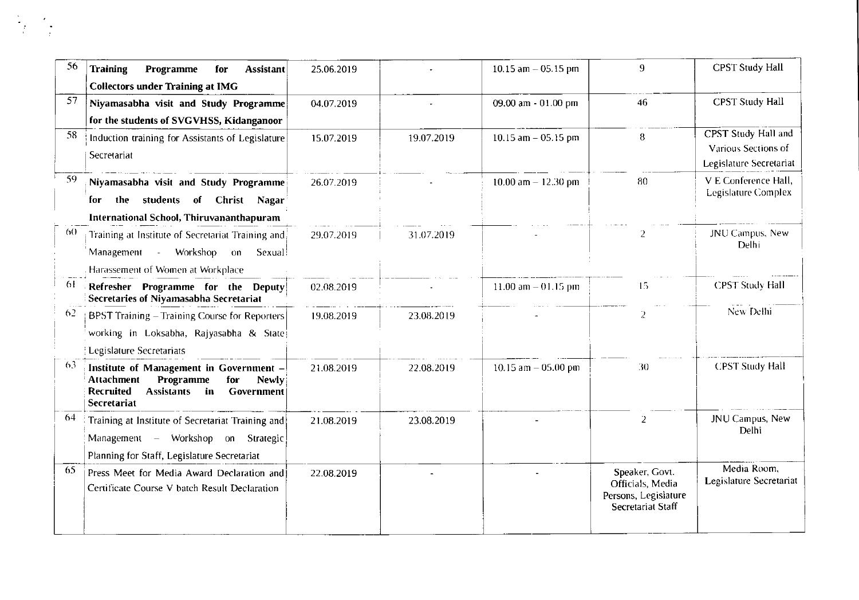| 56  | <b>Training</b><br>Programme<br><b>Assistant</b><br>for<br><b>Collectors under Training at IMG</b>                                                                           | 25.06.2019 |            | 10.15 $am - 05.15$ pm | 9                                                                               | <b>CPST Study Hall</b>                                                |
|-----|------------------------------------------------------------------------------------------------------------------------------------------------------------------------------|------------|------------|-----------------------|---------------------------------------------------------------------------------|-----------------------------------------------------------------------|
| 57  | Niyamasabha visit and Study Programme<br>for the students of SVGVHSS, Kidanganoor                                                                                            | 04.07.2019 |            | 09.00 am - 01.00 pm   | 46                                                                              | <b>CPST Study Hall</b>                                                |
| 58  | Induction training for Assistants of Legislature<br>Secretariat                                                                                                              | 15.07.2019 | 19.07.2019 | 10.15 $am - 05.15 pm$ | 8                                                                               | CPST Study Hall and<br>Various Sections of<br>Legislature Secretariat |
| 59  | Niyamasabha visit and Study Programme<br>students of<br>Christ Nagar<br>the<br>for<br><b>International School, Thiruvananthapuram</b>                                        | 26.07.2019 |            | 10.00 am $-$ 12.30 pm | -80                                                                             | V E Conference Hall,<br>Legislature Complex                           |
| 60. | Training at Institute of Secretariat Training and<br>- Workshop<br>Management<br>Sexual<br>$_{\text{on}}$<br>Harassement of Women at Workplace                               | 29.07.2019 | 31.07.2019 |                       |                                                                                 | JNU Campus, New<br>Delhi                                              |
| 61  | Refresher Programme for the Deputy<br>Secretaries of Niyamasabha Secretariat                                                                                                 | 02.08.2019 |            | 11.00 am $-01.15$ pm  | 15                                                                              | <b>CPST Study Hall</b>                                                |
| 62  | BPST Training - Training Course for Reporters<br>working in Loksabha, Rajyasabha & State<br><b>Legislature Secretariats</b>                                                  | 19.08.2019 | 23.08.2019 |                       | $\overline{2}$                                                                  | New Delhi                                                             |
| 63. | Institute of Management in Government -<br><b>Attachment</b><br>Programme<br>for<br><b>Newly</b><br><b>Recruited</b><br><b>Assistants</b><br>in<br>Government<br>Secretariat | 21.08.2019 | 22.08.2019 | 10.15 am $-$ 05.00 pm | 30                                                                              | <b>CPST Study Hall</b>                                                |
| 64  | Training at Institute of Secretariat Training and<br>Management - Workshop on Strategic<br>Planning for Staff, Legislature Secretariat                                       | 21.08.2019 | 23.08.2019 |                       | $\overline{2}$                                                                  | JNU Campus, New<br>Delhi                                              |
| 65  | Press Meet for Media Award Declaration and<br>Certificate Course V batch Result Declaration                                                                                  | 22.08.2019 |            |                       | Speaker, Govt.<br>Officials, Media<br>Persons, Legislature<br>Secretariat Staff | Media Room,<br>Legislature Secretariat                                |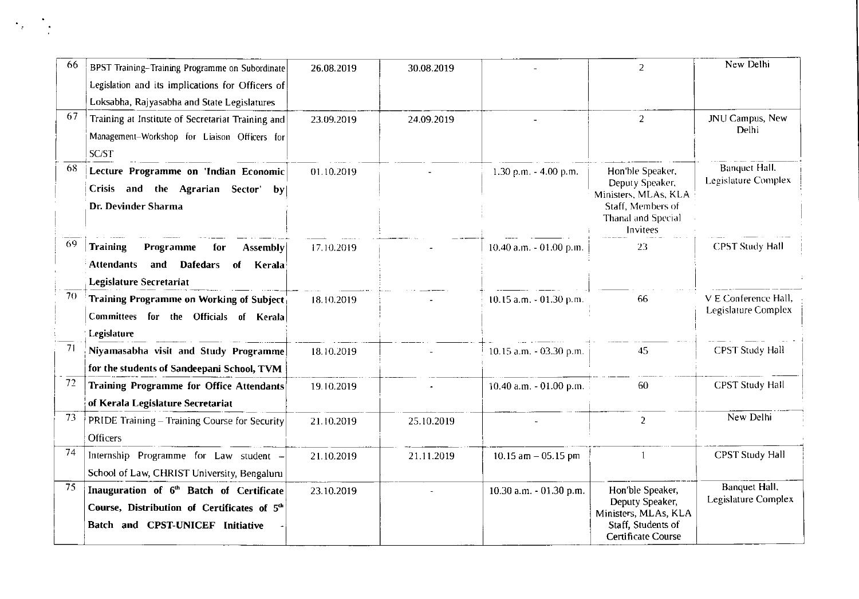| 66 | BPST Training-Training Programme on Subordinate        | 26.08.2019 | 30.08.2019 |                           | $\mathcal{P}$                                   | New Delhi                                    |
|----|--------------------------------------------------------|------------|------------|---------------------------|-------------------------------------------------|----------------------------------------------|
|    | Legislation and its implications for Officers of       |            |            |                           |                                                 |                                              |
|    | Loksabha, Rajyasabha and State Legislatures            |            |            |                           |                                                 |                                              |
| 67 | Training at Institute of Secretariat Training and      | 23.09.2019 | 24.09.2019 |                           | $\overline{2}$                                  | JNU Campus, New                              |
|    | Management-Workshop for Liaison Officers for           |            |            |                           |                                                 | Delhi                                        |
|    | SC/ST                                                  |            |            |                           |                                                 |                                              |
| 68 | Lecture Programme on 'Indian Economic                  | 01.10.2019 |            | $1.30$ p.m. $- 4.00$ p.m. | Hon'ble Speaker,                                | <b>Banquet Hall.</b>                         |
|    | Crisis and the Agrarian Sector'<br>$ {\bf b}{\bf v} $  |            |            |                           | Deputy Speaker,<br>Ministers, MLAs, KLA         | Legislature Complex                          |
|    | Dr. Devinder Sharma                                    |            |            |                           | Staff, Members of                               |                                              |
|    |                                                        |            |            |                           | Thanal and Special<br>Invitees                  |                                              |
| 69 | <b>Training</b><br>Programme<br>for<br><b>Assembly</b> | 17.10.2019 |            | 10.40 a.m. - 01.00 p.m.   | 23                                              | <b>CPST Study Hall</b>                       |
|    | <b>Attendants</b><br>and Dafedars<br>Kerala<br>of      |            |            |                           |                                                 |                                              |
|    | <b>Legislature Secretariat</b>                         |            |            |                           |                                                 |                                              |
| 70 | <b>Training Programme on Working of Subject</b>        | 18.10.2019 |            | 10.15 a.m. - 01.30 p.m.   | 66                                              | V E Conference Hall,                         |
|    | Committees for the Officials of Kerala                 |            |            |                           |                                                 | Legislature Complex                          |
|    | Legislature                                            |            |            |                           |                                                 |                                              |
| 71 | Niyamasabha visit and Study Programme                  | 18.10.2019 |            | 10.15 a.m. - 03.30 p.m.   | 45                                              | <b>CPST Study Hall</b>                       |
|    | for the students of Sandeepani School, TVM             |            |            |                           |                                                 |                                              |
| 72 | <b>Training Programme for Office Attendants</b>        | 19.10.2019 |            | 10.40 a.m. - 01.00 p.m.   | 60                                              | <b>CPST Study Hall</b>                       |
|    | of Kerala Legislature Secretariat                      |            |            |                           |                                                 |                                              |
| 73 | PRIDE Training - Training Course for Security          | 21.10.2019 | 25.10.2019 |                           | $\overline{2}$                                  | New Delhi                                    |
|    | <b>Officers</b>                                        |            |            |                           |                                                 |                                              |
| 74 | Internship Programme for Law student -                 | 21.10.2019 | 21.11.2019 | $10.15$ am $-05.15$ pm    |                                                 | <b>CPST Study Hall</b>                       |
|    | School of Law, CHRIST University, Bengaluru            |            |            |                           |                                                 |                                              |
| 75 | Inauguration of 6 <sup>th</sup> Batch of Certificate   | 23.10.2019 |            | 10.30 a.m. - 01.30 p.m.   | Hon'ble Speaker,                                | <b>Banquet Hall</b> ,<br>Legislature Complex |
|    | Course, Distribution of Certificates of 5th            |            |            |                           | Deputy Speaker,<br>Ministers, MLAs, KLA         |                                              |
|    | Batch and CPST-UNICEF Initiative                       |            |            |                           | Staff, Students of<br><b>Certificate Course</b> |                                              |

 $\mathcal{L}_{\text{max}}$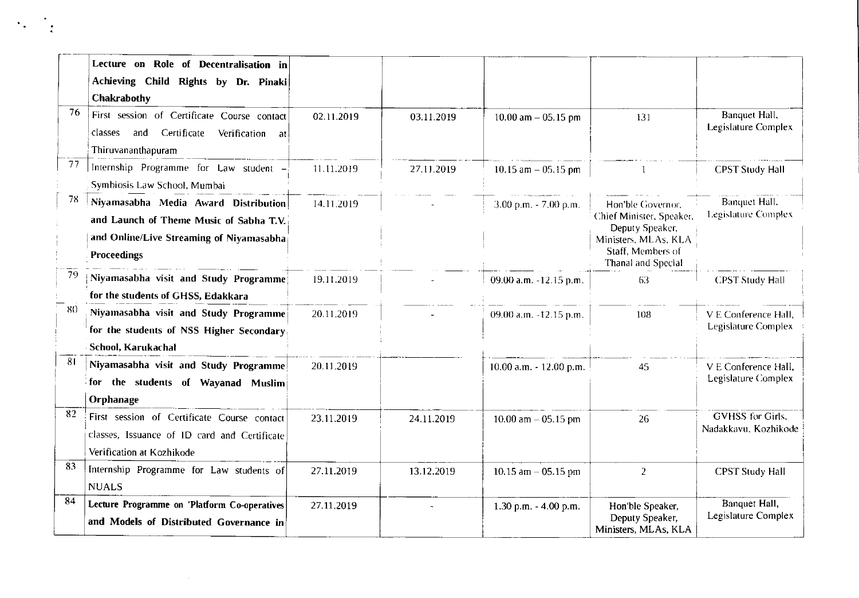|     | Lecture on Role of Decentralisation in<br>Achieving Child Rights by Dr. Pinaki<br>Chakrabothy                                                                                     |            |            |                           |                                                                                                                                     |                                                    |
|-----|-----------------------------------------------------------------------------------------------------------------------------------------------------------------------------------|------------|------------|---------------------------|-------------------------------------------------------------------------------------------------------------------------------------|----------------------------------------------------|
| 76  | First session of Certificate Course contact<br>Certificate<br>classes and<br>Verification at<br>Thiruvananthapuram                                                                | 02.11.2019 | 03.11.2019 | 10.00 am $-$ 05.15 pm     | 131                                                                                                                                 | Banquet Hall,<br>Legislature Complex               |
| 77  | Internship Programme for Law student -                                                                                                                                            | 11.11.2019 | 27.11.2019 | 10.15 am $-$ 05.15 pm     |                                                                                                                                     | <b>CPST Study Hall</b>                             |
| 78  | Symbiosis Law School, Mumbai<br>Niyamasabha Media Award Distribution<br>and Launch of Theme Music of Sabha T.V.<br>and Online/Live Streaming of Niyamasabha<br><b>Proceedings</b> | 14.11.2019 |            | $3.00$ p.m. $- 7.00$ p.m. | Hon'ble Governor,<br>Chief Minister, Speaker,<br>Deputy Speaker,<br>Ministers, MLAs, KLA<br>Staff, Members of<br>Thanal and Special | Banquet Hall.<br>Legislature Complex               |
| 79  | Niyamasabha visit and Study Programme<br>for the students of GHSS, Edakkara                                                                                                       | 19.11.2019 |            | 09.00 a.m. -12.15 p.m.    | 63                                                                                                                                  | <b>CPST Study Hall</b>                             |
| -80 | Niyamasabha visit and Study Programme<br>for the students of NSS Higher Secondary<br>School, Karukachal                                                                           | 20.11.2019 |            | 09.00 a.m. -12.15 p.m.    | 108                                                                                                                                 | V E Conference Hall,<br>Legislature Complex        |
| 81  | Niyamasabha visit and Study Programme<br>for the students of Wayanad Muslim<br>Orphanage                                                                                          | 20.11.2019 |            | 10.00 a.m. - 12.00 p.m.   | 45                                                                                                                                  | V E Conference Hall,<br><b>Legislature Complex</b> |
| 82  | First session of Certificate Course contact<br>classes, Issuance of ID card and Certificate<br>Verification at Kozhikode                                                          | 23.11.2019 | 24.11.2019 | 10.00 $am - 05.15$ pm     | 26                                                                                                                                  | <b>GVHSS</b> for Girls.<br>Nadakkavu, Kozhikode    |
| 83  | Internship Programme for Law students of<br><b>NUALS</b>                                                                                                                          | 27.11.2019 | 13.12.2019 | 10.15 $am - 05.15$ pm     | $\overline{2}$                                                                                                                      | <b>CPST Study Hall</b>                             |
| 84  | Lecture Programme on 'Platform Co-operatives<br>and Models of Distributed Governance in                                                                                           | 27.11.2019 |            | 1.30 p.m. $-4.00$ p.m.    | Hon'ble Speaker,<br>Deputy Speaker,<br>Ministers, MLAs, KLA                                                                         | Banquet Hall,<br>Legislature Complex               |

 $\mathcal{A}_{\mathcal{A}}$  ,  $\mathcal{A}_{\mathcal{A}}$  ,